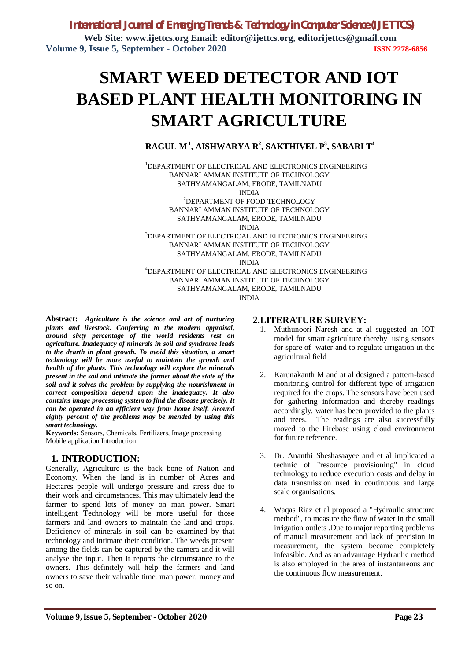*International Journal of Emerging Trends & Technology in Computer Science (IJETTCS)* **Web Site: www.ijettcs.org Email: editor@ijettcs.org, editorijettcs@gmail.com Volume 9, Issue 5, September - October 2020 ISSN 2278-6856**

# **SMART WEED DETECTOR AND IOT BASED PLANT HEALTH MONITORING IN SMART AGRICULTURE**

# **RAGUL M<sup>1</sup> , AISHWARYA R<sup>2</sup> , SAKTHIVEL P 3 , SABARI T<sup>4</sup>**

<sup>1</sup>DEPARTMENT OF ELECTRICAL AND ELECTRONICS ENGINEERING BANNARI AMMAN INSTITUTE OF TECHNOLOGY SATHYAMANGALAM, ERODE, TAMILNADU INDIA <sup>2</sup>DEPARTMENT OF FOOD TECHNOLOGY BANNARI AMMAN INSTITUTE OF TECHNOLOGY SATHYAMANGALAM, ERODE, TAMILNADU INDIA <sup>3</sup>DEPARTMENT OF ELECTRICAL AND ELECTRONICS ENGINEERING BANNARI AMMAN INSTITUTE OF TECHNOLOGY SATHYAMANGALAM, ERODE, TAMILNADU INDIA <sup>4</sup>DEPARTMENT OF ELECTRICAL AND ELECTRONICS ENGINEERING BANNARI AMMAN INSTITUTE OF TECHNOLOGY

SATHYAMANGALAM, ERODE, TAMILNADU

INDIA

**Abstract:** *Agriculture is the science and art of nurturing plants and livestock. Conferring to the modern appraisal, around sixty percentage of the world residents rest on agriculture. Inadequacy of minerals in soil and syndrome leads to the dearth in plant growth. To avoid this situation, a smart technology will be more useful to maintain the growth and health of the plants. This technology will explore the minerals present in the soil and intimate the farmer about the state of the soil and it solves the problem by supplying the nourishment in correct composition depend upon the inadequacy. It also contains image processing system to find the disease precisely. It can be operated in an efficient way from home itself. Around eighty percent of the problems may be mended by using this smart technology.* 

**Keywords:** Sensors, Chemicals, Fertilizers, Image processing, Mobile application Introduction

# **1. INTRODUCTION:**

Generally, Agriculture is the back bone of Nation and Economy. When the land is in number of Acres and Hectares people will undergo pressure and stress due to their work and circumstances. This may ultimately lead the farmer to spend lots of money on man power. Smart intelligent Technology will be more useful for those farmers and land owners to maintain the land and crops. Deficiency of minerals in soil can be examined by that technology and intimate their condition. The weeds present among the fields can be captured by the camera and it will analyse the input. Then it reports the circumstance to the owners. This definitely will help the farmers and land owners to save their valuable time, man power, money and so on.

### **2.LITERATURE SURVEY:**

- 1. Muthunoori Naresh and at al suggested an IOT model for smart agriculture thereby using sensors for spare of water and to regulate irrigation in the agricultural field
- 2. Karunakanth M and at al designed a pattern-based monitoring control for different type of irrigation required for the crops. The sensors have been used for gathering information and thereby readings accordingly, water has been provided to the plants and trees. The readings are also successfully moved to the Firebase using cloud environment for future reference.
- 3. Dr. Ananthi Sheshasaayee and et al implicated a technic of "resource provisioning" in cloud technology to reduce execution costs and delay in data transmission used in continuous and large scale organisations.
- 4. Waqas Riaz et al proposed a "Hydraulic structure method", to measure the flow of water in the small irrigation outlets .Due to major reporting problems of manual measurement and lack of precision in measurement, the system became completely infeasible. And as an advantage Hydraulic method is also employed in the area of instantaneous and the continuous flow measurement.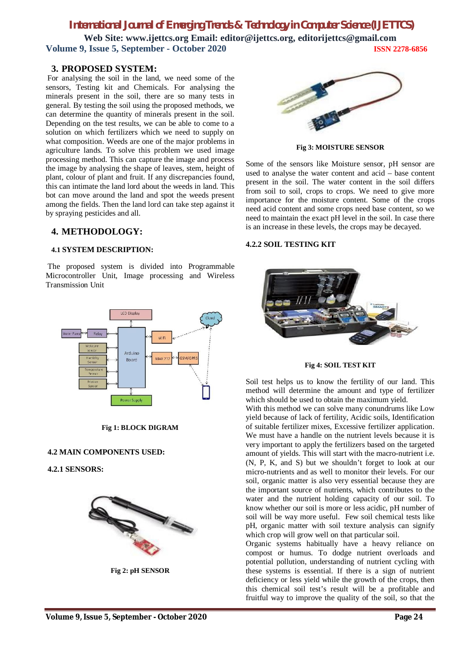# *International Journal of Emerging Trends & Technology in Computer Science (IJETTCS)*

**Web Site: www.ijettcs.org Email: editor@ijettcs.org, editorijettcs@gmail.com Volume 9, Issue 5, September - October 2020 ISSN 2278-6856**

### **3. PROPOSED SYSTEM:**

For analysing the soil in the land, we need some of the sensors, Testing kit and Chemicals. For analysing the minerals present in the soil, there are so many tests in general. By testing the soil using the proposed methods, we can determine the quantity of minerals present in the soil. Depending on the test results, we can be able to come to a solution on which fertilizers which we need to supply on what composition. Weeds are one of the major problems in agriculture lands. To solve this problem we used image processing method. This can capture the image and process the image by analysing the shape of leaves, stem, height of plant, colour of plant and fruit. If any discrepancies found, this can intimate the land lord about the weeds in land. This bot can move around the land and spot the weeds present among the fields. Then the land lord can take step against it by spraying pesticides and all.

# **4. METHODOLOGY:**

### **4.1 SYSTEM DESCRIPTION:**

The proposed system is divided into Programmable Microcontroller Unit, Image processing and Wireless Transmission Unit



**Fig 1: BLOCK DIGRAM**

### **4.2 MAIN COMPONENTS USED:**

**4.2.1 SENSORS:** 



**Fig 2: pH SENSOR**



**Fig 3: MOISTURE SENSOR**

Some of the sensors like Moisture sensor, pH sensor are used to analyse the water content and acid – base content present in the soil. The water content in the soil differs from soil to soil, crops to crops. We need to give more importance for the moisture content. Some of the crops need acid content and some crops need base content, so we need to maintain the exact pH level in the soil. In case there is an increase in these levels, the crops may be decayed.

### **4.2.2 SOIL TESTING KIT**



**Fig 4: SOIL TEST KIT**

Soil test helps us to know the fertility of our land. This method will determine the amount and type of fertilizer which should be used to obtain the maximum yield.

With this method we can solve many conundrums like Low yield because of lack of fertility, Acidic soils, Identification of suitable fertilizer mixes, Excessive fertilizer application. We must have a handle on the nutrient levels because it is very important to apply the fertilizers based on the targeted amount of yields. This will start with the macro-nutrient i.e. (N, P, K, and S) but we shouldn't forget to look at our micro-nutrients and as well to monitor their levels. For our soil, organic matter is also very essential because they are the important source of nutrients, which contributes to the water and the nutrient holding capacity of our soil. To know whether our soil is more or less acidic, pH number of soil will be way more useful. Few soil chemical tests like pH, organic matter with soil texture analysis can signify which crop will grow well on that particular soil.

Organic systems habitually have a heavy reliance on compost or humus. To dodge nutrient overloads and potential pollution, understanding of nutrient cycling with these systems is essential. If there is a sign of nutrient deficiency or less yield while the growth of the crops, then this chemical soil test's result will be a profitable and fruitful way to improve the quality of the soil, so that the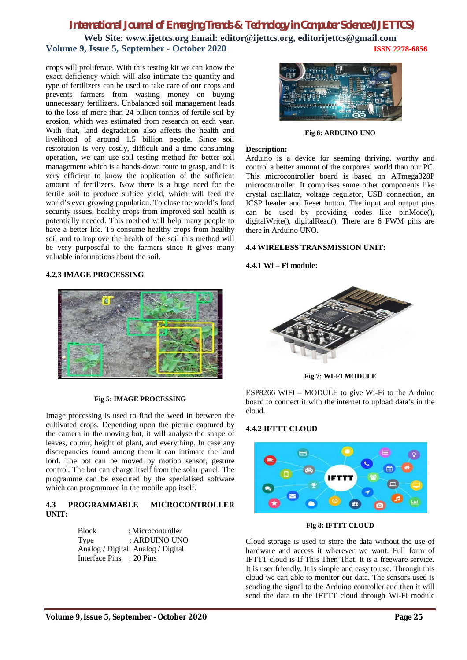# *International Journal of Emerging Trends & Technology in Computer Science (IJETTCS)*

**Web Site: www.ijettcs.org Email: editor@ijettcs.org, editorijettcs@gmail.com Volume 9, Issue 5, September - October 2020 ISSN 2278-6856**

crops will proliferate. With this testing kit we can know the exact deficiency which will also intimate the quantity and type of fertilizers can be used to take care of our crops and prevents farmers from wasting money on buying unnecessary fertilizers. Unbalanced soil management leads to the loss of more than 24 billion tonnes of fertile soil by erosion, which was estimated from research on each year. With that, land degradation also affects the health and livelihood of around 1.5 billion people. Since soil restoration is very costly, difficult and a time consuming operation, we can use soil testing method for better soil management which is a hands-down route to grasp, and it is very efficient to know the application of the sufficient amount of fertilizers. Now there is a huge need for the fertile soil to produce suffice yield, which will feed the world's ever growing population. To close the world's food security issues, healthy crops from improved soil health is potentially needed. This method will help many people to have a better life. To consume healthy crops from healthy soil and to improve the health of the soil this method will be very purposeful to the farmers since it gives many valuable informations about the soil.

### **4.2.3 IMAGE PROCESSING**



#### **Fig 5: IMAGE PROCESSING**

Image processing is used to find the weed in between the cultivated crops. Depending upon the picture captured by the camera in the moving bot, it will analyse the shape of leaves, colour, height of plant, and everything. In case any discrepancies found among them it can intimate the land lord. The bot can be moved by motion sensor, gesture control. The bot can charge itself from the solar panel. The programme can be executed by the specialised software which can programmed in the mobile app itself.

### **4.3 PROGRAMMABLE MICROCONTROLLER UNIT:**

Block : Microcontroller Type : ARDUINO UNO Analog / Digital: Analog / Digital Interface Pins : 20 Pins



**Fig 6: ARDUINO UNO**

### **Description:**

Arduino is a device for seeming thriving, worthy and control a better amount of the corporeal world than our PC. This microcontroller board is based on ATmega328P microcontroller. It comprises some other components like crystal oscillator, voltage regulator, USB connection, an ICSP header and Reset button. The input and output pins can be used by providing codes like pinMode(), digitalWrite(), digitalRead(). There are 6 PWM pins are there in Arduino UNO.

### **4.4 WIRELESS TRANSMISSION UNIT:**

#### **4.4.1 Wi – Fi module:**



**Fig 7: WI-FI MODULE**

ESP8266 WIFI – MODULE to give Wi-Fi to the Arduino board to connect it with the internet to upload data's in the cloud.

#### **4.4.2 IFTTT CLOUD**



**Fig 8: IFTTT CLOUD**

Cloud storage is used to store the data without the use of hardware and access it wherever we want. Full form of IFTTT cloud is If This Then That. It is a freeware service. It is user friendly. It is simple and easy to use. Through this cloud we can able to monitor our data. The sensors used is sending the signal to the Arduino controller and then it will send the data to the IFTTT cloud through Wi-Fi module